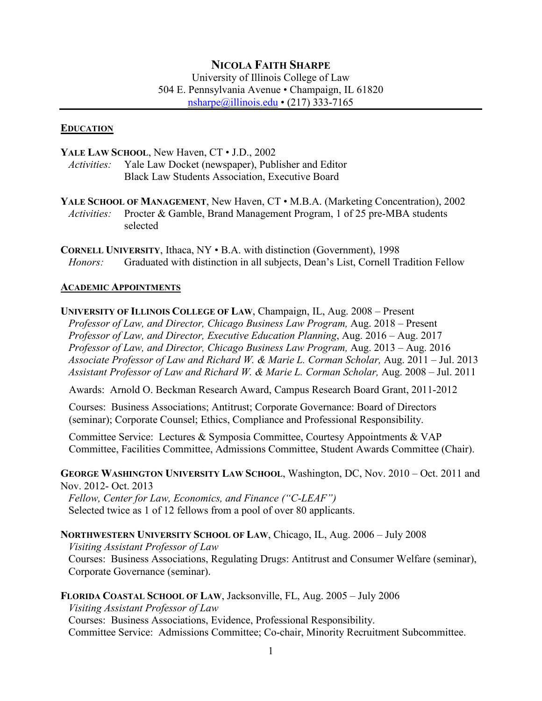## **NICOLA FAITH SHARPE**

University of Illinois College of Law 504 E. Pennsylvania Avenue • Champaign, IL 61820 [nsharpe@illinois.edu](mailto:nsharpe@illinois.edu) • (217) 333-7165

#### **EDUCATION**

YALE LAW SCHOOL, New Haven, CT  $\cdot$  J.D., 2002 *Activities:* Yale Law Docket (newspaper), Publisher and Editor

Black Law Students Association, Executive Board

**YALE SCHOOL OF MANAGEMENT**, New Haven, CT • M.B.A. (Marketing Concentration), 2002 *Activities:* Procter & Gamble, Brand Management Program, 1 of 25 pre-MBA students selected

**CORNELL UNIVERSITY**, Ithaca, NY • B.A. with distinction (Government), 1998 *Honors:* Graduated with distinction in all subjects, Dean's List, Cornell Tradition Fellow

### **ACADEMIC APPOINTMENTS**

**UNIVERSITY OF ILLINOIS COLLEGE OF LAW**, Champaign, IL, Aug. 2008 – Present *Professor of Law, and Director, Chicago Business Law Program,* Aug. 2018 – Present *Professor of Law, and Director, Executive Education Planning*, Aug. 2016 – Aug. 2017 *Professor of Law, and Director, Chicago Business Law Program,* Aug. 2013 – Aug. 2016 *Associate Professor of Law and Richard W. & Marie L. Corman Scholar,* Aug. 2011 – Jul. 2013 *Assistant Professor of Law and Richard W. & Marie L. Corman Scholar,* Aug. 2008 – Jul. 2011

Awards: Arnold O. Beckman Research Award, Campus Research Board Grant, 2011-2012

Courses: Business Associations; Antitrust; Corporate Governance: Board of Directors (seminar); Corporate Counsel; Ethics, Compliance and Professional Responsibility.

Committee Service: Lectures & Symposia Committee, Courtesy Appointments & VAP Committee, Facilities Committee, Admissions Committee, Student Awards Committee (Chair).

**GEORGE WASHINGTON UNIVERSITY LAW SCHOOL**, Washington, DC, Nov. 2010 – Oct. 2011 and Nov. 2012- Oct. 2013

*Fellow, Center for Law, Economics, and Finance ("C-LEAF")* Selected twice as 1 of 12 fellows from a pool of over 80 applicants.

**NORTHWESTERN UNIVERSITY SCHOOL OF LAW**, Chicago, IL, Aug. 2006 – July 2008 *Visiting Assistant Professor of Law* Courses: Business Associations, Regulating Drugs: Antitrust and Consumer Welfare (seminar), Corporate Governance (seminar).

**FLORIDA COASTAL SCHOOL OF LAW**, Jacksonville, FL, Aug. 2005 – July 2006

*Visiting Assistant Professor of Law* Courses: Business Associations, Evidence, Professional Responsibility. Committee Service: Admissions Committee; Co-chair, Minority Recruitment Subcommittee.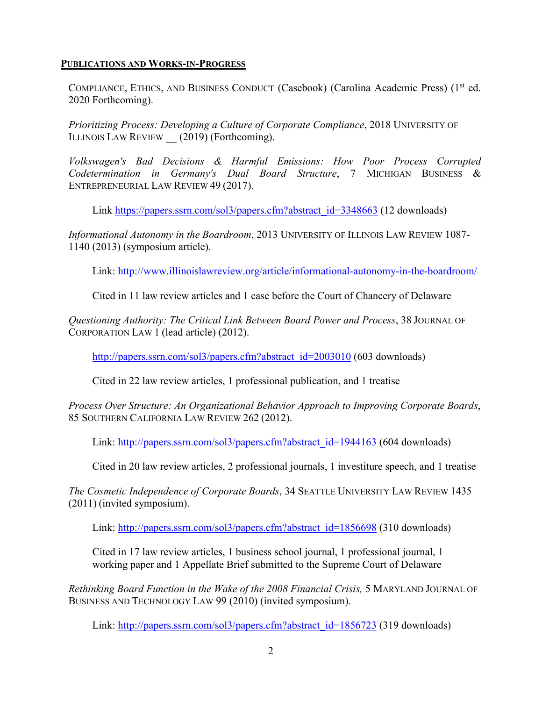### **PUBLICATIONS AND WORKS-IN-PROGRESS**

COMPLIANCE, ETHICS, AND BUSINESS CONDUCT (Casebook) (Carolina Academic Press) (1<sup>st</sup> ed. 2020 Forthcoming).

*Prioritizing Process: Developing a Culture of Corporate Compliance*, 2018 UNIVERSITY OF ILLINOIS LAW REVIEW (2019) (Forthcoming).

*Volkswagen's Bad Decisions & Harmful Emissions: How Poor Process Corrupted Codetermination in Germany's Dual Board Structure*, 7 MICHIGAN BUSINESS & ENTREPRENEURIAL LAW REVIEW 49 (2017).

Link [https://papers.ssrn.com/sol3/papers.cfm?abstract\\_id=3348663](https://papers.ssrn.com/sol3/papers.cfm?abstract_id=3348663) (12 downloads)

*Informational Autonomy in the Boardroom*, 2013 UNIVERSITY OF ILLINOIS LAW REVIEW 1087- 1140 (2013) (symposium article).

Link:<http://www.illinoislawreview.org/article/informational-autonomy-in-the-boardroom/>

Cited in 11 law review articles and 1 case before the Court of Chancery of Delaware

*Questioning Authority: The Critical Link Between Board Power and Process*, 38 JOURNAL OF CORPORATION LAW 1 (lead article) (2012).

[http://papers.ssrn.com/sol3/papers.cfm?abstract\\_id=2003010](http://papers.ssrn.com/sol3/papers.cfm?abstract_id=2003010) (603 downloads)

Cited in 22 law review articles, 1 professional publication, and 1 treatise

*Process Over Structure: An Organizational Behavior Approach to Improving Corporate Boards*, 85 SOUTHERN CALIFORNIA LAW REVIEW 262 (2012).

Link: [http://papers.ssrn.com/sol3/papers.cfm?abstract\\_id=1944163](http://papers.ssrn.com/sol3/papers.cfm?abstract_id=1944163) (604 downloads)

Cited in 20 law review articles, 2 professional journals, 1 investiture speech, and 1 treatise

*The Cosmetic Independence of Corporate Boards*, 34 SEATTLE UNIVERSITY LAW REVIEW 1435 (2011) (invited symposium).

Link: [http://papers.ssrn.com/sol3/papers.cfm?abstract\\_id=1856698](http://papers.ssrn.com/sol3/papers.cfm?abstract_id=1856698) (310 downloads)

Cited in 17 law review articles, 1 business school journal, 1 professional journal, 1 working paper and 1 Appellate Brief submitted to the Supreme Court of Delaware

*Rethinking Board Function in the Wake of the 2008 Financial Crisis,* 5 MARYLAND JOURNAL OF BUSINESS AND TECHNOLOGY LAW 99 (2010) (invited symposium).

Link: [http://papers.ssrn.com/sol3/papers.cfm?abstract\\_id=1856723](http://papers.ssrn.com/sol3/papers.cfm?abstract_id=1856723) (319 downloads)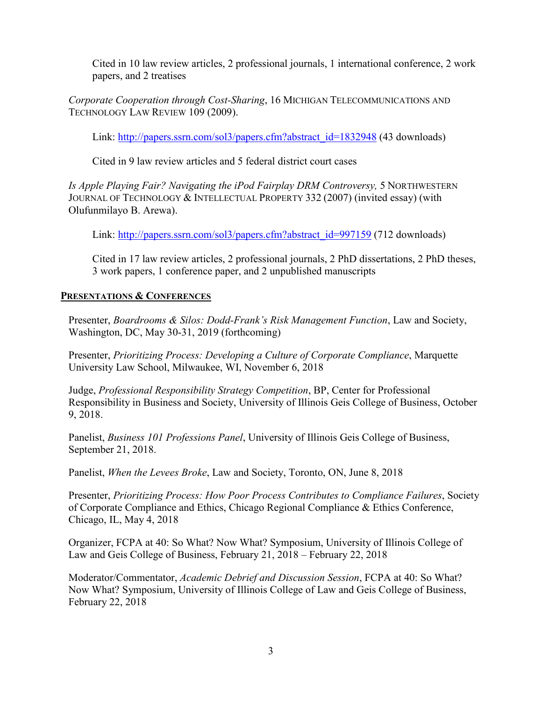Cited in 10 law review articles, 2 professional journals, 1 international conference, 2 work papers, and 2 treatises

*Corporate Cooperation through Cost-Sharing*, 16 MICHIGAN TELECOMMUNICATIONS AND TECHNOLOGY LAW REVIEW 109 (2009).

Link: [http://papers.ssrn.com/sol3/papers.cfm?abstract\\_id=1832948](http://papers.ssrn.com/sol3/papers.cfm?abstract_id=1832948) (43 downloads)

Cited in 9 law review articles and 5 federal district court cases

*Is Apple Playing Fair? Navigating the iPod Fairplay DRM Controversy,* 5 NORTHWESTERN JOURNAL OF TECHNOLOGY & INTELLECTUAL PROPERTY 332 (2007) (invited essay) (with Olufunmilayo B. Arewa).

Link: [http://papers.ssrn.com/sol3/papers.cfm?abstract\\_id=997159](http://papers.ssrn.com/sol3/papers.cfm?abstract_id=997159) (712 downloads)

Cited in 17 law review articles, 2 professional journals, 2 PhD dissertations, 2 PhD theses, 3 work papers, 1 conference paper, and 2 unpublished manuscripts

# **PRESENTATIONS & CONFERENCES**

Presenter, *Boardrooms & Silos: Dodd-Frank's Risk Management Function*, Law and Society, Washington, DC, May 30-31, 2019 (forthcoming)

Presenter, *Prioritizing Process: Developing a Culture of Corporate Compliance*, Marquette University Law School, Milwaukee, WI, November 6, 2018

Judge, *Professional Responsibility Strategy Competition*, BP, Center for Professional Responsibility in Business and Society, University of Illinois Geis College of Business, October 9, 2018.

Panelist, *Business 101 Professions Panel*, University of Illinois Geis College of Business, September 21, 2018.

Panelist, *When the Levees Broke*, Law and Society, Toronto, ON, June 8, 2018

Presenter, *Prioritizing Process: How Poor Process Contributes to Compliance Failures*, Society of Corporate Compliance and Ethics, Chicago Regional Compliance & Ethics Conference, Chicago, IL, May 4, 2018

Organizer, FCPA at 40: So What? Now What? Symposium, University of Illinois College of Law and Geis College of Business, February 21, 2018 – February 22, 2018

Moderator/Commentator, *Academic Debrief and Discussion Session*, FCPA at 40: So What? Now What? Symposium, University of Illinois College of Law and Geis College of Business, February 22, 2018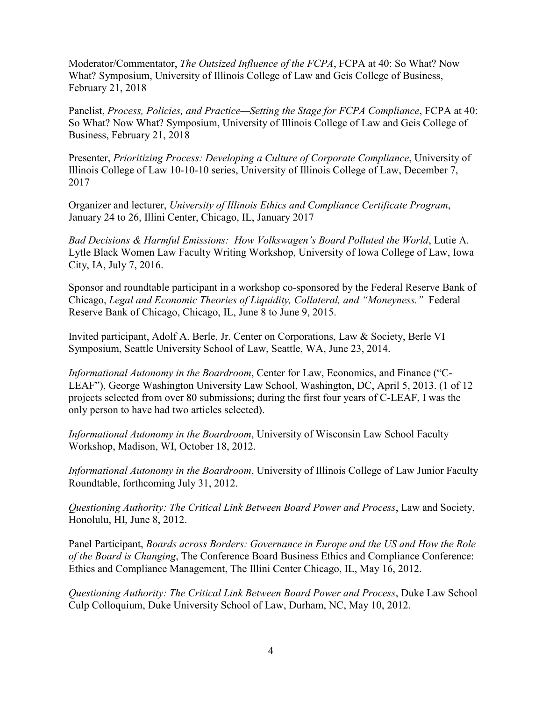Moderator/Commentator, *The Outsized Influence of the FCPA*, FCPA at 40: So What? Now What? Symposium, University of Illinois College of Law and Geis College of Business, February 21, 2018

Panelist, *Process, Policies, and Practice—Setting the Stage for FCPA Compliance*, FCPA at 40: So What? Now What? Symposium, University of Illinois College of Law and Geis College of Business, February 21, 2018

Presenter, *Prioritizing Process: Developing a Culture of Corporate Compliance*, University of Illinois College of Law 10-10-10 series, University of Illinois College of Law, December 7, 2017

Organizer and lecturer, *University of Illinois Ethics and Compliance Certificate Program*, January 24 to 26, Illini Center, Chicago, IL, January 2017

*Bad Decisions & Harmful Emissions: How Volkswagen's Board Polluted the World*, Lutie A. Lytle Black Women Law Faculty Writing Workshop, University of Iowa College of Law, Iowa City, IA, July 7, 2016.

Sponsor and roundtable participant in a workshop co-sponsored by the Federal Reserve Bank of Chicago, *Legal and Economic Theories of Liquidity, Collateral, and "Moneyness."* Federal Reserve Bank of Chicago, Chicago, IL, June 8 to June 9, 2015.

Invited participant, Adolf A. Berle, Jr. Center on Corporations, Law & Society, Berle VI Symposium, Seattle University School of Law, Seattle, WA, June 23, 2014.

*Informational Autonomy in the Boardroom*, Center for Law, Economics, and Finance ("C-LEAF"), George Washington University Law School, Washington, DC, April 5, 2013. (1 of 12 projects selected from over 80 submissions; during the first four years of C-LEAF, I was the only person to have had two articles selected).

*Informational Autonomy in the Boardroom*, University of Wisconsin Law School Faculty Workshop, Madison, WI, October 18, 2012.

*Informational Autonomy in the Boardroom*, University of Illinois College of Law Junior Faculty Roundtable, forthcoming July 31, 2012.

*Questioning Authority: The Critical Link Between Board Power and Process*, Law and Society, Honolulu, HI, June 8, 2012.

Panel Participant, *Boards across Borders: Governance in Europe and the US and How the Role of the Board is Changing*, The Conference Board Business Ethics and Compliance Conference: Ethics and Compliance Management, The Illini Center Chicago, IL, May 16, 2012.

*Questioning Authority: The Critical Link Between Board Power and Process*, Duke Law School Culp Colloquium, Duke University School of Law, Durham, NC, May 10, 2012.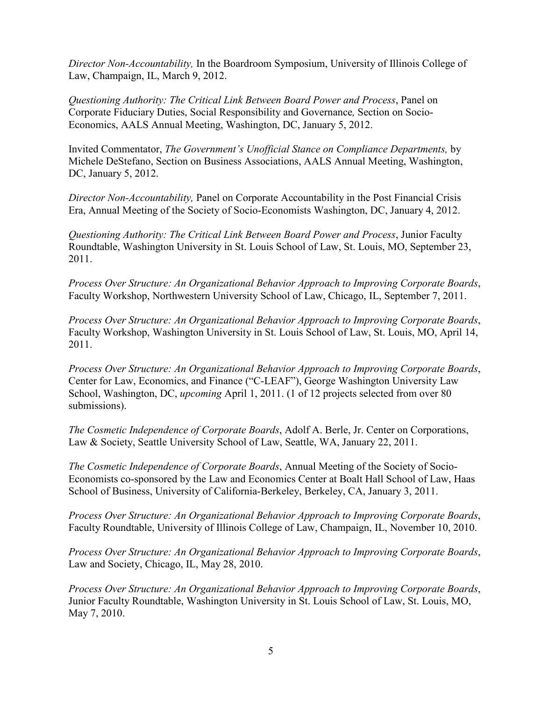*Director Non-Accountability,* In the Boardroom Symposium, University of Illinois College of Law, Champaign, IL, March 9, 2012.

*Questioning Authority: The Critical Link Between Board Power and Process*, Panel on Corporate Fiduciary Duties, Social Responsibility and Governance*,* Section on Socio-Economics, AALS Annual Meeting, Washington, DC, January 5, 2012.

Invited Commentator, *The Government's Unofficial Stance on Compliance Departments,* by Michele DeStefano, Section on Business Associations, AALS Annual Meeting, Washington, DC, January 5, 2012.

*Director Non-Accountability,* Panel on Corporate Accountability in the Post Financial Crisis Era, Annual Meeting of the Society of Socio-Economists Washington, DC, January 4, 2012.

*Questioning Authority: The Critical Link Between Board Power and Process*, Junior Faculty Roundtable, Washington University in St. Louis School of Law, St. Louis, MO, September 23, 2011.

*Process Over Structure: An Organizational Behavior Approach to Improving Corporate Boards*, Faculty Workshop, Northwestern University School of Law, Chicago, IL, September 7, 2011.

*Process Over Structure: An Organizational Behavior Approach to Improving Corporate Boards*, Faculty Workshop, Washington University in St. Louis School of Law, St. Louis, MO, April 14, 2011.

*Process Over Structure: An Organizational Behavior Approach to Improving Corporate Boards*, Center for Law, Economics, and Finance ("C-LEAF"), George Washington University Law School, Washington, DC, *upcoming* April 1, 2011. (1 of 12 projects selected from over 80 submissions).

*The Cosmetic Independence of Corporate Boards*, Adolf A. Berle, Jr. Center on Corporations, Law & Society, Seattle University School of Law, Seattle, WA, January 22, 2011.

*The Cosmetic Independence of Corporate Boards*, Annual Meeting of the Society of Socio-Economists co-sponsored by the Law and Economics Center at Boalt Hall School of Law, Haas School of Business, University of California-Berkeley, Berkeley, CA, January 3, 2011.

*Process Over Structure: An Organizational Behavior Approach to Improving Corporate Boards*, Faculty Roundtable, University of Illinois College of Law, Champaign, IL, November 10, 2010.

*Process Over Structure: An Organizational Behavior Approach to Improving Corporate Boards*, Law and Society, Chicago, IL, May 28, 2010.

*Process Over Structure: An Organizational Behavior Approach to Improving Corporate Boards*, Junior Faculty Roundtable, Washington University in St. Louis School of Law, St. Louis, MO, May 7, 2010.